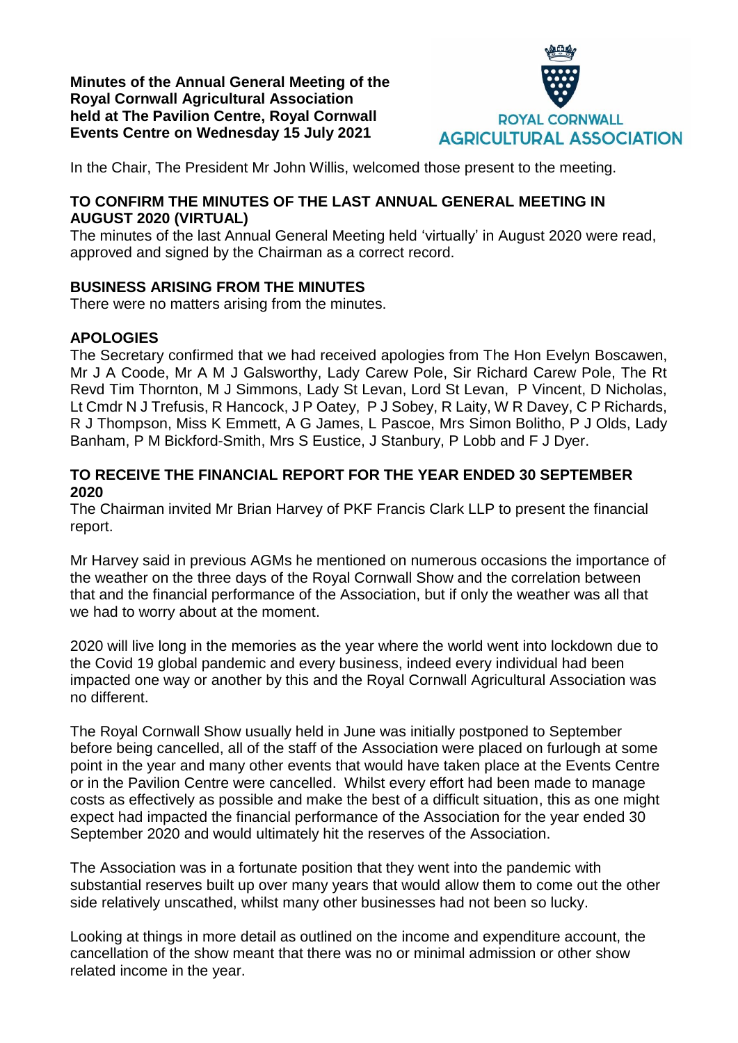**Minutes of the Annual General Meeting of the Royal Cornwall Agricultural Association held at The Pavilion Centre, Royal Cornwall Events Centre on Wednesday 15 July 2021**



In the Chair, The President Mr John Willis, welcomed those present to the meeting.

## **TO CONFIRM THE MINUTES OF THE LAST ANNUAL GENERAL MEETING IN AUGUST 2020 (VIRTUAL)**

The minutes of the last Annual General Meeting held 'virtually' in August 2020 were read, approved and signed by the Chairman as a correct record.

# **BUSINESS ARISING FROM THE MINUTES**

There were no matters arising from the minutes.

## **APOLOGIES**

The Secretary confirmed that we had received apologies from The Hon Evelyn Boscawen, Mr J A Coode, Mr A M J Galsworthy, Lady Carew Pole, Sir Richard Carew Pole, The Rt Revd Tim Thornton, M J Simmons, Lady St Levan, Lord St Levan, P Vincent, D Nicholas, Lt Cmdr N J Trefusis, R Hancock, J P Oatey, P J Sobey, R Laity, W R Davey, C P Richards, R J Thompson, Miss K Emmett, A G James, L Pascoe, Mrs Simon Bolitho, P J Olds, Lady Banham, P M Bickford-Smith, Mrs S Eustice, J Stanbury, P Lobb and F J Dyer.

### **TO RECEIVE THE FINANCIAL REPORT FOR THE YEAR ENDED 30 SEPTEMBER 2020**

The Chairman invited Mr Brian Harvey of PKF Francis Clark LLP to present the financial report.

Mr Harvey said in previous AGMs he mentioned on numerous occasions the importance of the weather on the three days of the Royal Cornwall Show and the correlation between that and the financial performance of the Association, but if only the weather was all that we had to worry about at the moment.

2020 will live long in the memories as the year where the world went into lockdown due to the Covid 19 global pandemic and every business, indeed every individual had been impacted one way or another by this and the Royal Cornwall Agricultural Association was no different.

The Royal Cornwall Show usually held in June was initially postponed to September before being cancelled, all of the staff of the Association were placed on furlough at some point in the year and many other events that would have taken place at the Events Centre or in the Pavilion Centre were cancelled. Whilst every effort had been made to manage costs as effectively as possible and make the best of a difficult situation, this as one might expect had impacted the financial performance of the Association for the year ended 30 September 2020 and would ultimately hit the reserves of the Association.

The Association was in a fortunate position that they went into the pandemic with substantial reserves built up over many years that would allow them to come out the other side relatively unscathed, whilst many other businesses had not been so lucky.

Looking at things in more detail as outlined on the income and expenditure account, the cancellation of the show meant that there was no or minimal admission or other show related income in the year.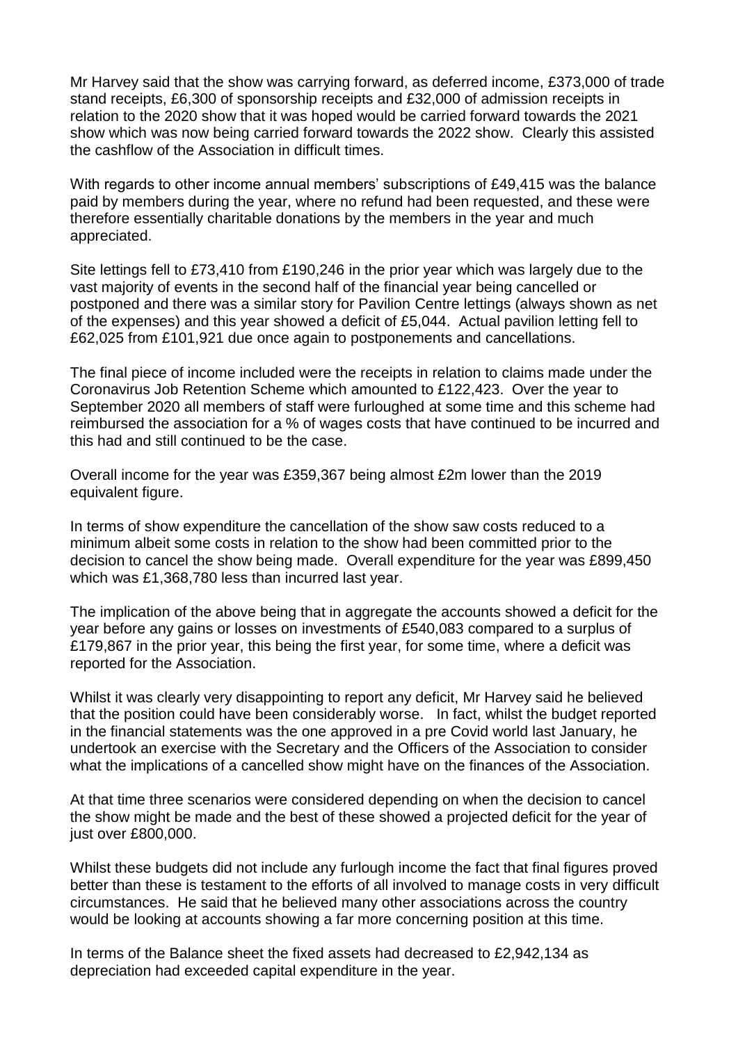Mr Harvey said that the show was carrying forward, as deferred income, £373,000 of trade stand receipts, £6,300 of sponsorship receipts and £32,000 of admission receipts in relation to the 2020 show that it was hoped would be carried forward towards the 2021 show which was now being carried forward towards the 2022 show. Clearly this assisted the cashflow of the Association in difficult times.

With regards to other income annual members' subscriptions of £49,415 was the balance paid by members during the year, where no refund had been requested, and these were therefore essentially charitable donations by the members in the year and much appreciated.

Site lettings fell to £73,410 from £190,246 in the prior year which was largely due to the vast majority of events in the second half of the financial year being cancelled or postponed and there was a similar story for Pavilion Centre lettings (always shown as net of the expenses) and this year showed a deficit of £5,044. Actual pavilion letting fell to £62,025 from £101,921 due once again to postponements and cancellations.

The final piece of income included were the receipts in relation to claims made under the Coronavirus Job Retention Scheme which amounted to £122,423. Over the year to September 2020 all members of staff were furloughed at some time and this scheme had reimbursed the association for a % of wages costs that have continued to be incurred and this had and still continued to be the case.

Overall income for the year was £359,367 being almost £2m lower than the 2019 equivalent figure.

In terms of show expenditure the cancellation of the show saw costs reduced to a minimum albeit some costs in relation to the show had been committed prior to the decision to cancel the show being made. Overall expenditure for the year was £899,450 which was £1,368,780 less than incurred last year.

The implication of the above being that in aggregate the accounts showed a deficit for the year before any gains or losses on investments of £540,083 compared to a surplus of £179,867 in the prior year, this being the first year, for some time, where a deficit was reported for the Association.

Whilst it was clearly very disappointing to report any deficit, Mr Harvey said he believed that the position could have been considerably worse. In fact, whilst the budget reported in the financial statements was the one approved in a pre Covid world last January, he undertook an exercise with the Secretary and the Officers of the Association to consider what the implications of a cancelled show might have on the finances of the Association.

At that time three scenarios were considered depending on when the decision to cancel the show might be made and the best of these showed a projected deficit for the year of just over £800,000.

Whilst these budgets did not include any furlough income the fact that final figures proved better than these is testament to the efforts of all involved to manage costs in very difficult circumstances. He said that he believed many other associations across the country would be looking at accounts showing a far more concerning position at this time.

In terms of the Balance sheet the fixed assets had decreased to £2,942,134 as depreciation had exceeded capital expenditure in the year.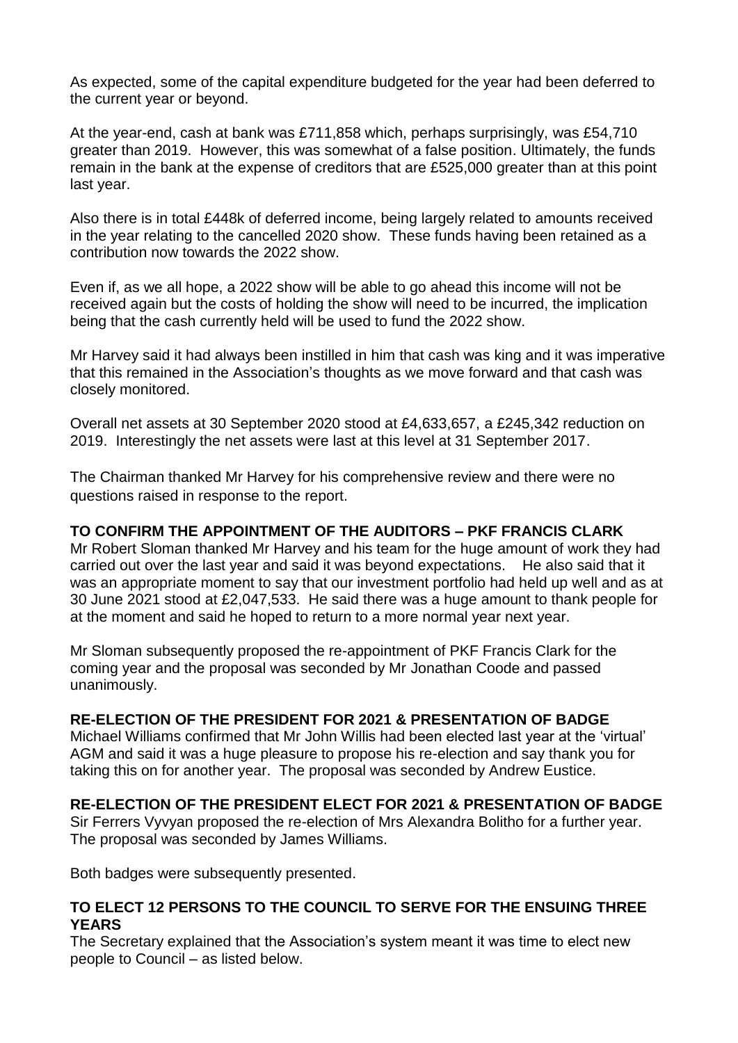As expected, some of the capital expenditure budgeted for the year had been deferred to the current year or beyond.

At the year-end, cash at bank was £711,858 which, perhaps surprisingly, was £54,710 greater than 2019. However, this was somewhat of a false position. Ultimately, the funds remain in the bank at the expense of creditors that are £525,000 greater than at this point last year.

Also there is in total £448k of deferred income, being largely related to amounts received in the year relating to the cancelled 2020 show. These funds having been retained as a contribution now towards the 2022 show.

Even if, as we all hope, a 2022 show will be able to go ahead this income will not be received again but the costs of holding the show will need to be incurred, the implication being that the cash currently held will be used to fund the 2022 show.

Mr Harvey said it had always been instilled in him that cash was king and it was imperative that this remained in the Association's thoughts as we move forward and that cash was closely monitored.

Overall net assets at 30 September 2020 stood at £4,633,657, a £245,342 reduction on 2019. Interestingly the net assets were last at this level at 31 September 2017.

The Chairman thanked Mr Harvey for his comprehensive review and there were no questions raised in response to the report.

#### **TO CONFIRM THE APPOINTMENT OF THE AUDITORS – PKF FRANCIS CLARK**

Mr Robert Sloman thanked Mr Harvey and his team for the huge amount of work they had carried out over the last year and said it was beyond expectations. He also said that it was an appropriate moment to say that our investment portfolio had held up well and as at 30 June 2021 stood at £2,047,533. He said there was a huge amount to thank people for at the moment and said he hoped to return to a more normal year next year.

Mr Sloman subsequently proposed the re-appointment of PKF Francis Clark for the coming year and the proposal was seconded by Mr Jonathan Coode and passed unanimously.

#### **RE-ELECTION OF THE PRESIDENT FOR 2021 & PRESENTATION OF BADGE**

Michael Williams confirmed that Mr John Willis had been elected last year at the 'virtual' AGM and said it was a huge pleasure to propose his re-election and say thank you for taking this on for another year. The proposal was seconded by Andrew Eustice.

#### **RE-ELECTION OF THE PRESIDENT ELECT FOR 2021 & PRESENTATION OF BADGE**

Sir Ferrers Vyvyan proposed the re-election of Mrs Alexandra Bolitho for a further year. The proposal was seconded by James Williams.

Both badges were subsequently presented.

#### **TO ELECT 12 PERSONS TO THE COUNCIL TO SERVE FOR THE ENSUING THREE YEARS**

The Secretary explained that the Association's system meant it was time to elect new people to Council – as listed below.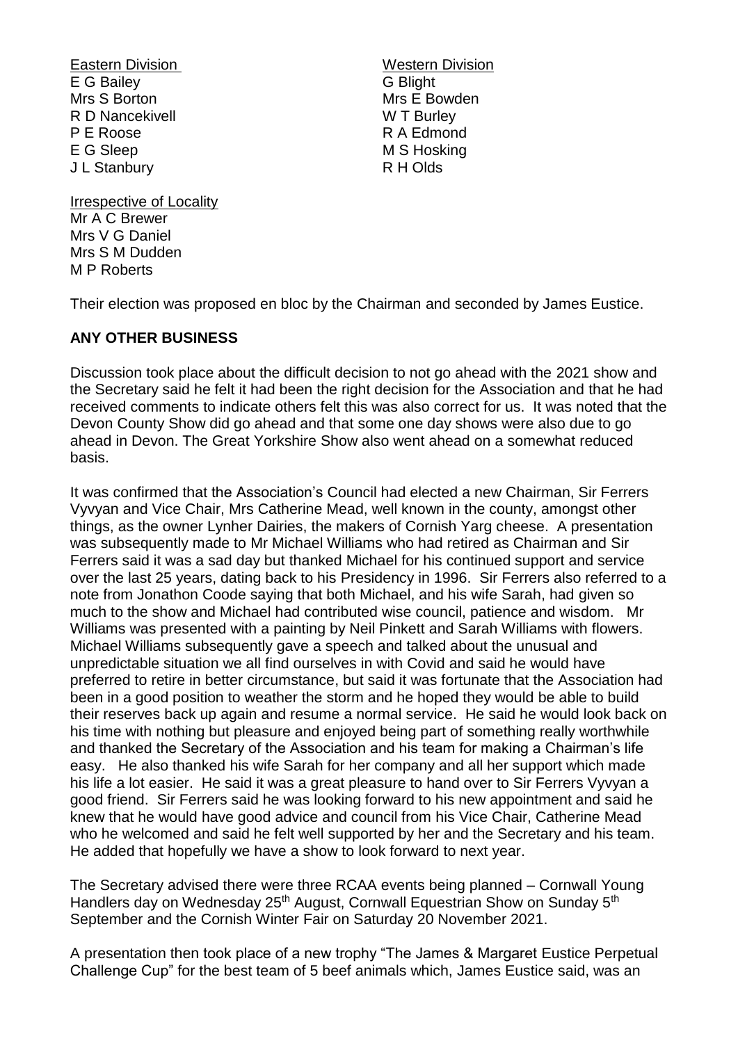Eastern Division **Eastern Division** E G Bailey G Blight Mrs S Borton Mrs E Bowden<br>
R D Nancekivell 
Mrs E Bowden<br>
W T Burley R D Nancekivell P E Roose R A Edmond E G Sleep M S Hosking J L Stanbury R H Olds

Irrespective of Locality Mr A C Brewer Mrs V G Daniel Mrs S M Dudden M P Roberts

Their election was proposed en bloc by the Chairman and seconded by James Eustice.

## **ANY OTHER BUSINESS**

Discussion took place about the difficult decision to not go ahead with the 2021 show and the Secretary said he felt it had been the right decision for the Association and that he had received comments to indicate others felt this was also correct for us. It was noted that the Devon County Show did go ahead and that some one day shows were also due to go ahead in Devon. The Great Yorkshire Show also went ahead on a somewhat reduced basis.

It was confirmed that the Association's Council had elected a new Chairman, Sir Ferrers Vyvyan and Vice Chair, Mrs Catherine Mead, well known in the county, amongst other things, as the owner Lynher Dairies, the makers of Cornish Yarg cheese. A presentation was subsequently made to Mr Michael Williams who had retired as Chairman and Sir Ferrers said it was a sad day but thanked Michael for his continued support and service over the last 25 years, dating back to his Presidency in 1996. Sir Ferrers also referred to a note from Jonathon Coode saying that both Michael, and his wife Sarah, had given so much to the show and Michael had contributed wise council, patience and wisdom. Mr Williams was presented with a painting by Neil Pinkett and Sarah Williams with flowers. Michael Williams subsequently gave a speech and talked about the unusual and unpredictable situation we all find ourselves in with Covid and said he would have preferred to retire in better circumstance, but said it was fortunate that the Association had been in a good position to weather the storm and he hoped they would be able to build their reserves back up again and resume a normal service. He said he would look back on his time with nothing but pleasure and enjoyed being part of something really worthwhile and thanked the Secretary of the Association and his team for making a Chairman's life easy. He also thanked his wife Sarah for her company and all her support which made his life a lot easier. He said it was a great pleasure to hand over to Sir Ferrers Vyvyan a good friend. Sir Ferrers said he was looking forward to his new appointment and said he knew that he would have good advice and council from his Vice Chair, Catherine Mead who he welcomed and said he felt well supported by her and the Secretary and his team. He added that hopefully we have a show to look forward to next year.

The Secretary advised there were three RCAA events being planned – Cornwall Young Handlers day on Wednesday 25<sup>th</sup> August, Cornwall Equestrian Show on Sunday 5<sup>th</sup> September and the Cornish Winter Fair on Saturday 20 November 2021.

A presentation then took place of a new trophy "The James & Margaret Eustice Perpetual Challenge Cup" for the best team of 5 beef animals which, James Eustice said, was an